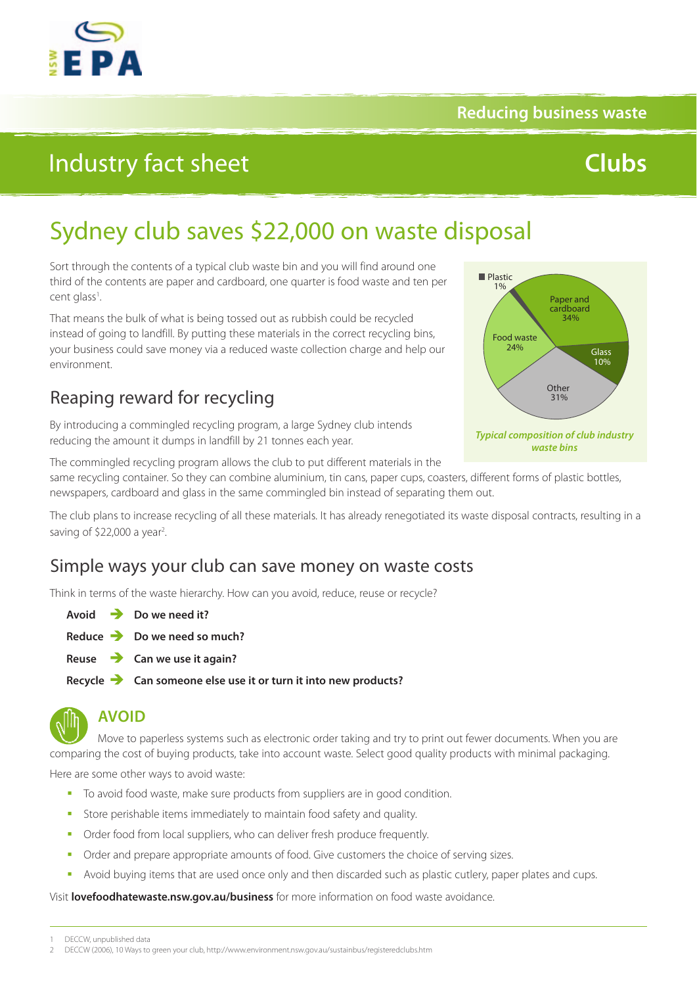

#### **Reducing business waste**

## Industry fact sheet

# **Clubs**

## Sydney club saves \$22,000 on waste disposal

Sort through the contents of a typical club waste bin and you will find around one third of the contents are paper and cardboard, one quarter is food waste and ten per cent glass<sup>1</sup>. .

That means the bulk of what is being tossed out as rubbish could be recycled instead of going to landfill. By putting these materials in the correct recycling bins, your business could save money via a reduced waste collection charge and help our environment.

### Reaping reward for recycling

By introducing a commingled recycling program, a large Sydney club intends reducing the amount it dumps in landfill by 21 tonnes each year.



The commingled recycling program allows the club to put different materials in the same recycling container. So they can combine aluminium, tin cans, paper cups, coasters, different forms of plastic bottles, newspapers, cardboard and glass in the same commingled bin instead of separating them out.

The club plans to increase recycling of all these materials. It has already renegotiated its waste disposal contracts, resulting in a saving of \$22,000 a year<sup>2</sup>.

### Simple ways your club can save money on waste costs

Think in terms of the waste hierarchy. How can you avoid, reduce, reuse or recycle?

**Avoid Do we need it?**

- **Reduce Do we need so much?**
- **Reuse Can we use it again?**

**Recycle Can someone else use it or turn it into new products?**



### **AVOID**

Move to paperless systems such as electronic order taking and try to print out fewer documents. When you are comparing the cost of buying products, take into account waste. Select good quality products with minimal packaging.

Here are some other ways to avoid waste:

- To avoid food waste, make sure products from suppliers are in good condition.
- Store perishable items immediately to maintain food safety and quality.
- Order food from local suppliers, who can deliver fresh produce frequently.
- Order and prepare appropriate amounts of food. Give customers the choice of serving sizes.
- Avoid buying items that are used once only and then discarded such as plastic cutlery, paper plates and cups.

Visit **lovefoodhatewaste.nsw.gov.au/business** for more information on food waste avoidance.

DECCW, unpublished data

<sup>2</sup> DECCW (2006), 10 Ways to green your club, <http://www.environment.nsw.gov.au/sustainbus/registeredclubs.htm>